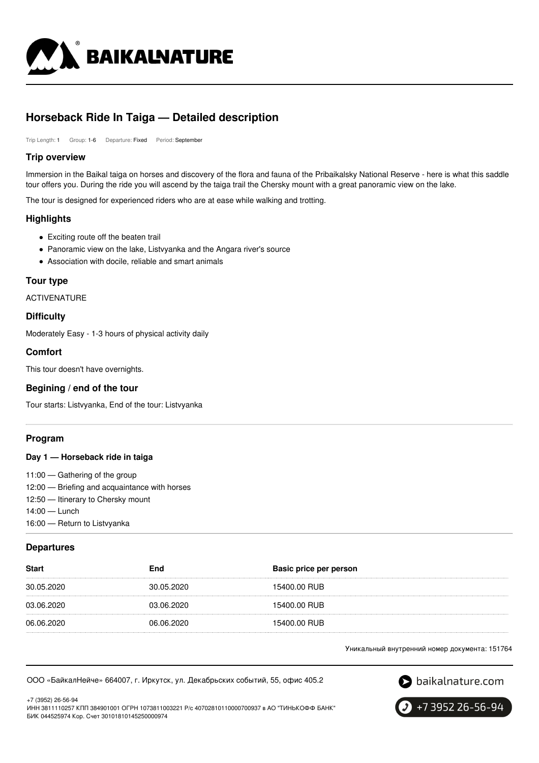

# **Horseback Ride In Taiga — Detailed description**

Trip Length: 1 Group: 1-6 Departure: Fixed Period: September

# **Trip overview**

Immersion in the Baikal taiga on horses and discovery of the flora and fauna of the Pribaikalsky National Reserve - here is what this saddle tour offers you. During the ride you will ascend by the taiga trail the Chersky mount with a great panoramic view on the lake.

The tour is designed for experienced riders who are at ease while walking and trotting.

# **Highlights**

- Exciting route off the beaten trail
- Panoramic view on the lake, Listvyanka and the Angara river's source
- Association with docile, reliable and smart animals

# **Tour type**

ACTIVENATURE

# **Difficulty**

Moderately Easy - 1-3 hours of physical activity daily

# **Comfort**

This tour doesn't have overnights.

# **Begining / end of the tour**

Tour starts: Listvyanka, End of the tour: Listvyanka

# **Program**

#### **Day 1 — Horseback ride in taiga**

11:00 — Gathering of the group

12:00 — Briefing and acquaintance with horses

- 12:50 Itinerary to Chersky mount
- 14:00 Lunch

16:00 — Return to Listvyanka

#### **Departures**

| <b>Start</b> | End        | Basic price per person |
|--------------|------------|------------------------|
| 30.05.2020   | 30.05.2020 | 15400.00 RUB           |
| 03.06.2020   | 03.06.2020 | 15400.00 RUB           |
| 06.06.2020   | 06.06.2020 | 15400.00 RUB           |

Уникальный внутренний номер документа: 151764

ООО «БайкалНейче» 664007, г. Иркутск, ул. Декабрьских событий, 55, офис 405.2



+7 (3952) 26-56-94 ИНН 3811110257 КПП 384901001 ОГРН 1073811003221 Р/с 40702810110000700937 в АО "ТИНЬКОФФ БАНК" БИК 044525974 Кор. Счет 30101810145250000974

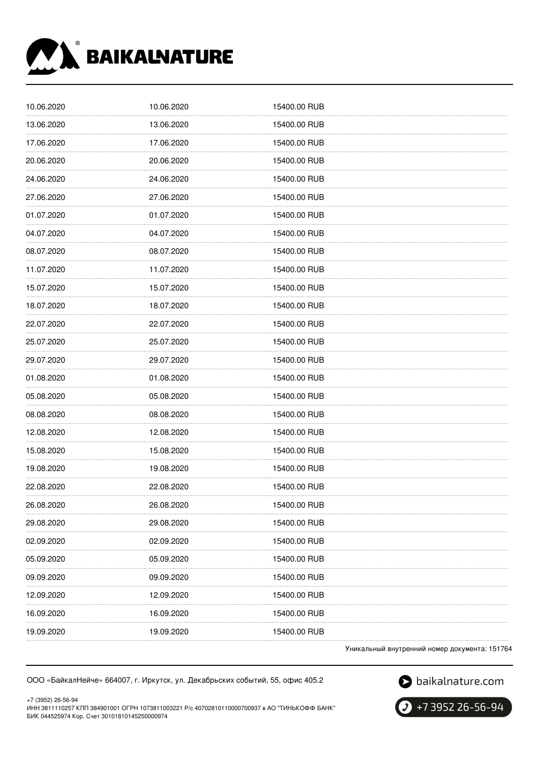

| 10.06.2020 | 10.06.2020 | 15400.00 RUB                                  |
|------------|------------|-----------------------------------------------|
| 13.06.2020 | 13.06.2020 | 15400.00 RUB                                  |
| 17.06.2020 | 17.06.2020 | 15400.00 RUB                                  |
| 20.06.2020 | 20.06.2020 | 15400.00 RUB                                  |
| 24.06.2020 | 24.06.2020 | 15400.00 RUB                                  |
| 27.06.2020 | 27.06.2020 | 15400.00 RUB                                  |
| 01.07.2020 | 01.07.2020 | 15400.00 RUB                                  |
| 04.07.2020 | 04.07.2020 | 15400.00 RUB                                  |
| 08.07.2020 | 08.07.2020 | 15400.00 RUB                                  |
| 11.07.2020 | 11.07.2020 | 15400.00 RUB                                  |
| 15.07.2020 | 15.07.2020 | 15400.00 RUB                                  |
| 18.07.2020 | 18.07.2020 | 15400.00 RUB                                  |
| 22.07.2020 | 22.07.2020 | 15400.00 RUB                                  |
| 25.07.2020 | 25.07.2020 | 15400.00 RUB                                  |
| 29.07.2020 | 29.07.2020 | 15400.00 RUB                                  |
| 01.08.2020 | 01.08.2020 | 15400.00 RUB                                  |
| 05.08.2020 | 05.08.2020 | 15400.00 RUB                                  |
| 08.08.2020 | 08.08.2020 | 15400.00 RUB                                  |
| 12.08.2020 | 12.08.2020 | 15400.00 RUB                                  |
| 15.08.2020 | 15.08.2020 | 15400.00 RUB                                  |
| 19.08.2020 | 19.08.2020 | 15400.00 RUB                                  |
| 22.08.2020 | 22.08.2020 | 15400.00 RUB                                  |
| 26.08.2020 | 26.08.2020 | 15400.00 RUB                                  |
| 29.08.2020 | 29.08.2020 | 15400.00 RUB                                  |
| 02.09.2020 | 02.09.2020 | 15400.00 RUB                                  |
| 05.09.2020 | 05.09.2020 | 15400.00 RUB                                  |
| 09.09.2020 | 09.09.2020 | 15400.00 RUB                                  |
| 12.09.2020 | 12.09.2020 | 15400.00 RUB                                  |
| 16.09.2020 | 16.09.2020 | 15400.00 RUB                                  |
| 19.09.2020 | 19.09.2020 | 15400.00 RUB                                  |
|            |            | Уникальный внутренний номер документа: 151764 |

утреннии номер документа: 15

ООО «БайкалНейче» 664007, г. Иркутск, ул. Декабрьских событий, 55, офис 405.2

baikalnature.com

+7 (3952) 26-56-94 ИНН 3811110257 КПП 384901001 ОГРН 1073811003221 Р/с 40702810110000700937 в АО "ТИНЬКОФФ БАНК" БИК 044525974 Кор. Счет 30101810145250000974

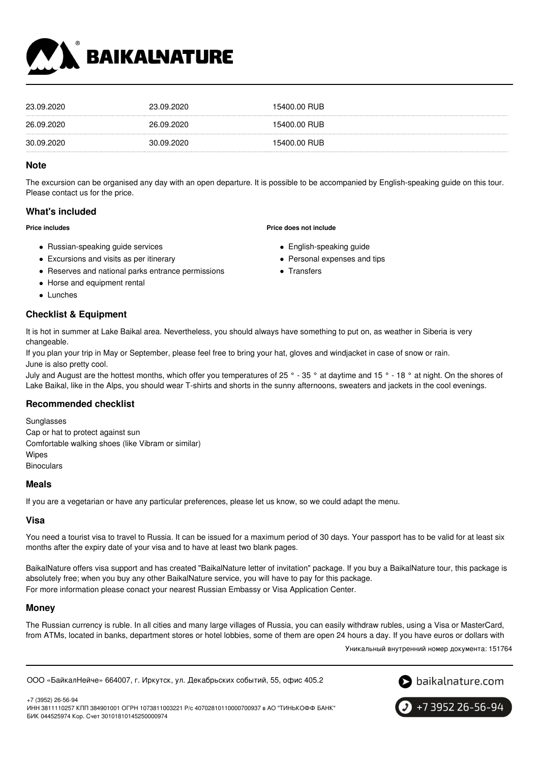

| 23.09.2020 | 23.09.2020 | 15400.00 RUB |
|------------|------------|--------------|
| 26.09.2020 | 26.09.2020 | 15400.00 RUB |
| 30.09.2020 | 30.09.2020 | 15400.00 RUB |

# **Note**

The excursion can be organised any day with an open departure. It is possible to be accompanied by English-speaking guide on this tour. Please contact us for the price.

# **What's included**

#### **Price includes**

- Russian-speaking quide services
- Excursions and visits as per itinerary
- Reserves and national parks entrance permissions
- Horse and equipment rental
- Lunches

# **Checklist & Equipment**

It is hot in summer at Lake Baikal area. Nevertheless, you should always have something to put on, as weather in Siberia is very changeable.

If you plan your trip in May or September, please feel free to bring your hat, gloves and windjacket in case of snow or rain. June is also pretty cool.

July and August are the hottest months, which offer you temperatures of 25 ° - 35 ° at daytime and 15 ° - 18 ° at night. On the shores of Lake Baikal, like in the Alps, you should wear T-shirts and shorts in the sunny afternoons, sweaters and jackets in the cool evenings.

# **Recommended checklist**

Sunglasses Cap or hat to protect against sun Comfortable walking shoes (like Vibram or similar) Wipes **Binoculars** 

# **Meals**

If you are a vegetarian or have any particular preferences, please let us know, so we could adapt the menu.

# **Visa**

You need a tourist visa to travel to Russia. It can be issued for a maximum period of 30 days. Your passport has to be valid for at least six months after the expiry date of your visa and to have at least two blank pages.

BaikalNature offers visa support and has created "BaikalNature letter of invitation" package. If you buy a BaikalNature tour, this package is absolutely free; when you buy any other BaikalNature service, you will have to pay for this package. For more information please conact your nearest Russian Embassy or Visa Application Center.

# **Money**

The Russian currency is ruble. In all cities and many large villages of Russia, you can easily withdraw rubles, using a Visa or MasterCard, from ATMs, located in banks, department stores or hotel lobbies, some of them are open 24 hours a day. If you have euros or dollars with

Уникальный внутренний номер документа: 151764

ООО «БайкалНейче» 664007, г. Иркутск, ул. Декабрьских событий, 55, офис 405.2



+7 (3952) 26-56-94 ИНН 3811110257 КПП 384901001 ОГРН 1073811003221 Р/с 40702810110000700937 в АО "ТИНЬКОФФ БАНК" БИК 044525974 Кор. Счет 30101810145250000974



# **Price does not include**

- English-speaking guide
- Personal expenses and tips
- Transfers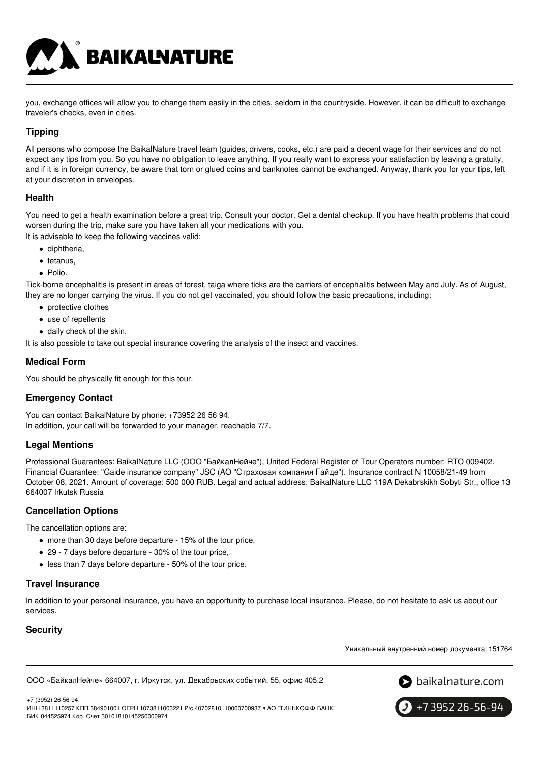you, exchange offices will allow you to change them easily in the cities, seldom in the countryside. However, it can be difficult to exchange traveler's checks, even in cities.

# **Tipping**

All persons who compose the BaikalNature travel team (guides, drivers, cooks, etc.) are paid a decent wage for their services and do not expect any tips from you. So you have no obligation to leave anything. If you really want to express your satisfaction by leaving a gratuity, and if it is in foreign currency, be aware that torn or glued coins and banknotes cannot be exchanged. Anyway, thank you for your tips, left at your discretion in envelopes.

# **Health**

You need to get a health examination before a great trip. Consult your doctor. Get a dental checkup. If you have health problems that could worsen during the trip, make sure you have taken all your medications with you.

It is advisable to keep the following vaccines valid:

**BAIKALNATURE** 

- diphtheria,
- $\bullet$  tetanus,
- Polio.

Tick-borne encephalitis is present in areas of forest, taiga where ticks are the carriers of encephalitis between May and July. As of August, they are no longer carrying the virus. If you do not get vaccinated, you should follow the basic precautions, including:

- protective clothes
- use of repellents
- daily check of the skin.

It is also possible to take out special insurance covering the analysis of the insect and vaccines.

# **Medical Form**

You should be physically fit enough for this tour.

# **Emergency Contact**

You can contact BaikalNature by phone: +73952 26 56 94. In addition, your call will be forwarded to your manager, reachable 7/7.

# **Legal Mentions**

Professional Guarantees: BaikalNature LLC (ООО "БайкалНейче"), United Federal Register of Tour Operators number: RTO 009402. Financial Guarantee: "Gaide insurance company" JSC (АО "Страховая компания Гайде"). Insurance contract N 10058/21-49 from October 08, 2021. Amount of coverage: 500 000 RUB. Legal and actual address: BaikalNature LLC 119А Dekabrskikh Sobyti Str., office 13 664007 Irkutsk Russia

# **Cancellation Options**

The cancellation options are:

- more than 30 days before departure 15% of the tour price,
- 29 7 days before departure 30% of the tour price,
- less than 7 days before departure 50% of the tour price.

# **Travel Insurance**

In addition to your personal insurance, you have an opportunity to purchase local insurance. Please, do not hesitate to ask us about our services.

# **Security**

Уникальный внутренний номер документа: 151764

ООО «БайкалНейче» 664007, г. Иркутск, ул. Декабрьских событий, 55, офис 405.2





+7 3952 26-56-94